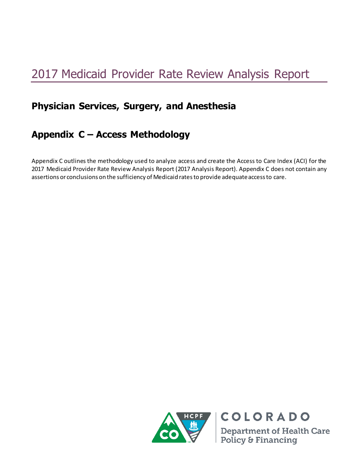# 2017 Medicaid Provider Rate Review Analysis Report

## **Physician Services, Surgery, and Anesthesia**

### **Appendix C – Access Methodology**

Appendix C outlines the methodology used to analyze access and create the Access to Care Index (ACI) for the 2017 Medicaid Provider Rate Review Analysis Report (2017 Analysis Report). Appendix C does not contain any assertions or conclusions on the sufficiency of Medicaid rates to provide adequate access to care.



**Department of Health Care** Policy & Financing

**COLORADO**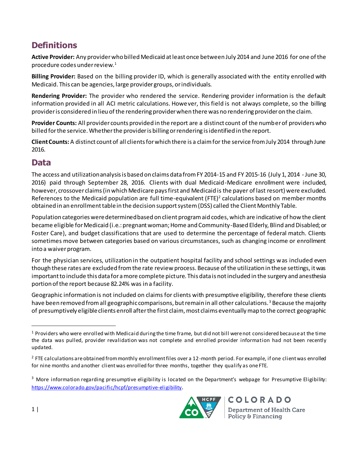#### **Definitions**

**Active Provider:** Any provider who billed Medicaid at least once between July 2014 and June 2016 for one of the procedure codes under review.<sup>1</sup>

**Billing Provider:** Based on the billing provider ID, which is generally associated with the entity enrolled with Medicaid. This can be agencies, large provider groups, or individuals.

**Rendering Provider:** The provider who rendered the service. Rendering provider information is the default information provided in all ACI metric calculations. However, this field is not always complete, so the billing provider is considered in lieu of the rendering provider when there was no rendering provider on the claim.

**Provider Counts:** All provider counts provided in the report are a distinct count of the number of providers who billed for the service. Whether the provider is billing or rendering is identified in the report.

**Client Counts:** A distinct count of all clients for which there is a claim for the service from July 2014 through June 2016.

#### **Data**

The access and utilization analysis is based on claims data from FY 2014-15 and FY 2015-16 (July 1, 2014 - June 30, 2016) paid through September 28, 2016. Clients with dual Medicaid-Medicare enrollment were included, however, crossover claims (in which Medicare pays first and Medicaid is the payer of last resort) were excluded. References to the Medicaid population are full time-equivalent (FTE)<sup>2</sup> calculations based on member months obtained in an enrollment table in the decision support system (DSS) called the Client Monthly Table.

Population categories were determined based on client program aid codes, which are indicative of how the client became eligible for Medicaid (i.e.: pregnant woman; Home and Community-Based Elderly, Blind and Disabled; or Foster Care), and budget classifications that are used to determine the percentage of federal match. Clients sometimes move between categories based on various circumstances, such as changing income or enrollment into a waiver program.

For the physician services, utilization in the outpatient hospital facility and school settings was included even though these rates are excluded from the rate review process. Because of the utilization in these settings, it was important to include this data for a more complete picture. This data is not included in the surgery and anesthesia portion of the report because 82.24% was in a facility.

Geographic information is not included on claims for clients with presumptive eligibility, therefore these clients have been removed from all geographic comparisons, but remain in all other calculations.<sup>3</sup> Because the majority of presumptively eligible clients enroll after the first claim, most claims eventually map to the correct geographic

 $3$  More information regarding presumptive eligibility is located on the Department's webpage for Presumptive Eligibility: <https://www.colorado.gov/pacific/hcpf/presumptive-eligibility>.



COLORADO **Department of Health Care** Policy & Financing

 $\overline{a}$ 

 $1$  Providers who were enrolled with Medicaid during the time frame, but did not bill were not considered because at the time the data was pulled, provider revalidation was not complete and enrolled provider information had not been recently updated.

 $2$  FTE calculations are obtained from monthly enrollment files over a 12-month period. For example, if one client was enrolled for nine months and another client was enrolled for three months, together they qualify as one FTE.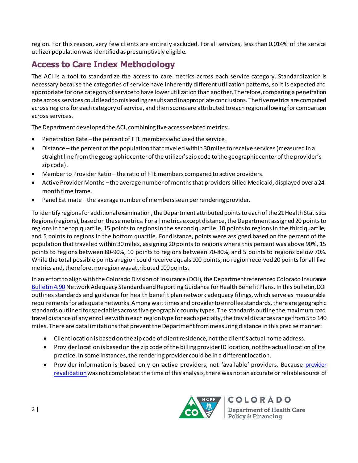region. For this reason, very few clients are entirely excluded. For all services, less than 0.014% of the service utilizer population wasidentified as presumptively eligible.

#### **Access to Care Index Methodology**

The ACI is a tool to standardize the access to care metrics across each service category. Standardization is necessary because the categories of service have inherently different utilization patterns, so it is expected and appropriate for one category of service to have lower utilization than another. Therefore, comparing a penetration rate across services could lead to misleading results and inappropriate conclusions. The five metrics are computed across regions for each category of service, and then scores are attributed to each region allowing for comparison across services.

The Department developed the ACI, combining five access-related metrics:

- Penetration Rate –the percent of FTE members who used the service.
- Distance the percent of the population that traveled within 30 miles to receive services (measured in a straight line from the geographic center of the utilizer's zip code to the geographic center of the provider's zip code).
- Member to Provider Ratio the ratio of FTE members compared to active providers.
- Active Provider Months –the average number of months that providers billed Medicaid, displayed over a 24 month time frame.
- Panel Estimate –the average number of members seen per rendering provider.

To identify regions for additional examination, the Department attributed points to each of the 21 Health Statistics Regions (regions), based on these metrics. For all metrics except distance, the Department assigned 20 points to regions in the top quartile, 15 points to regions in the second quartile, 10 points to regions in the third quartile, and 5 points to regions in the bottom quartile. For distance, points were assigned based on the percent of the population that traveled within 30 miles, assigning 20 points to regions where this percent was above 90%, 15 points to regions between 80-90%, 10 points to regions between 70-80%, and 5 points to regions below 70%. While the total possible points a region could receive equals 100 points, no region received 20 points for all five metrics and, therefore, no region was attributed 100 points.

In an effort to align with the Colorado Division of Insurance (DOI), the Department referenced Colorado Insurance [Bulletin 4.90](https://www.colorado.gov/pacific/dora/node/94966) Network Adequacy Standards and Reporting Guidance for Health Benefit Plans. In this bulletin, DOI outlines standards and guidance for health benefit plan network adequacy filings, which serve as measurable requirements for adequate networks. Among wait times and provider to enrollee standards, there are geographic standards outlined for specialties across five geographic county types. The standards outline the maximum road travel distance of any enrollee within each region type for each specialty, the travel distances range from 5 to 140 miles. There are data limitations that prevent the Department from measuring distance in this precise manner:

- Client location is based on the zip code of client residence, not the client's actual home address.
- Provider location is based on the zip code of the billing provider ID location, not the actual location of the practice. In some instances, the rendering provider could be in a different location.
- Provider information is based only on active providers, not 'available' providers. Because [provider](https://www.colorado.gov/pacific/hcpf/provider-enrollment)  [revalidation w](https://www.colorado.gov/pacific/hcpf/provider-enrollment)as not complete at the time of this analysis, there was not an accurate or reliable source of



COLORADO **Department of Health Care** Policy & Financing